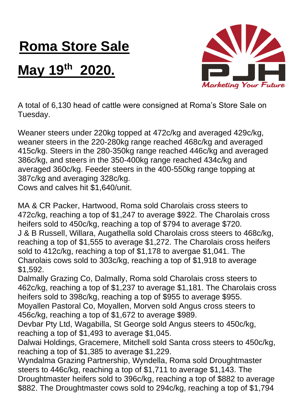## **Roma Store Sale**

## **May 19 th 2020.**



A total of 6,130 head of cattle were consigned at Roma's Store Sale on Tuesday.

Weaner steers under 220kg topped at 472c/kg and averaged 429c/kg, weaner steers in the 220-280kg range reached 468c/kg and averaged 415c/kg. Steers in the 280-350kg range reached 446c/kg and averaged 386c/kg, and steers in the 350-400kg range reached 434c/kg and averaged 360c/kg. Feeder steers in the 400-550kg range topping at 387c/kg and averaging 328c/kg.

Cows and calves hit \$1,640/unit.

MA & CR Packer, Hartwood, Roma sold Charolais cross steers to 472c/kg, reaching a top of \$1,247 to average \$922. The Charolais cross heifers sold to 450c/kg, reaching a top of \$794 to average \$720. J & B Russell, Willara, Augathella sold Charolais cross steers to 468c/kg, reaching a top of \$1,555 to average \$1,272. The Charolais cross heifers sold to 412c/kg, reaching a top of \$1,178 to avergae \$1,041. The Charolais cows sold to 303c/kg, reaching a top of \$1,918 to average \$1,592.

Dalmally Grazing Co, Dalmally, Roma sold Charolais cross steers to 462c/kg, reaching a top of \$1,237 to average \$1,181. The Charolais cross heifers sold to 398c/kg, reaching a top of \$955 to average \$955. Moyallen Pastoral Co, Moyallen, Morven sold Angus cross steers to 456c/kg, reaching a top of \$1,672 to average \$989.

Devbar Pty Ltd, Wagabilla, St George sold Angus steers to 450c/kg, reaching a top of \$1,493 to average \$1,045.

Dalwai Holdings, Gracemere, Mitchell sold Santa cross steers to 450c/kg, reaching a top of \$1,385 to average \$1,229.

Wyndalma Grazing Partnership, Wyndella, Roma sold Droughtmaster steers to 446c/kg, reaching a top of \$1,711 to average \$1,143. The Droughtmaster heifers sold to 396c/kg, reaching a top of \$882 to average \$882. The Droughtmaster cows sold to 294c/kg, reaching a top of \$1,794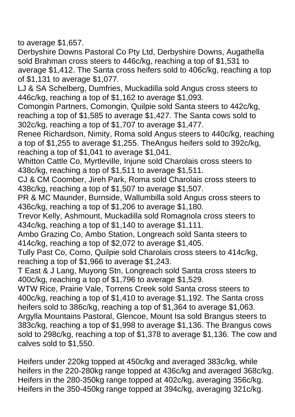to average \$1,657.

Derbyshire Downs Pastoral Co Pty Ltd, Derbyshire Downs, Augathella sold Brahman cross steers to 446c/kg, reaching a top of \$1,531 to average \$1,412. The Santa cross heifers sold to 406c/kg, reaching a top of \$1,131 to average \$1,077.

LJ & SA Schelberg, Dumfries, Muckadilla sold Angus cross steers to 446c/kg, reaching a top of \$1,162 to average \$1,093.

Comongin Partners, Comongin, Quilpie sold Santa steers to 442c/kg, reaching a top of \$1,585 to average \$1,427. The Santa cows sold to 302c/kg, reaching a top of \$1,707 to average \$1,477.

Renee Richardson, Nimity, Roma sold Angus steers to 440c/kg, reaching a top of \$1,255 to average \$1,255. TheAngus heifers sold to 392c/kg, reaching a top of \$1,041 to average \$1,041.

Whitton Cattle Co, Myrtleville, Injune sold Charolais cross steers to 438c/kg, reaching a top of \$1,511 to average \$1,511.

CJ & CM Coomber, Jireh Park, Roma sold Charolais cross steers to 438c/kg, reaching a top of \$1,507 to average \$1,507.

PR & MC Maunder, Burnside, Wallumbilla sold Angus cross steers to 436c/kg, reaching a top of \$1,206 to average \$1,180.

Trevor Kelly, Ashmount, Muckadilla sold Romagnola cross steers to 434c/kg, reaching a top of \$1,140 to average \$1,111.

Ambo Grazing Co, Ambo Station, Longreach sold Santa steers to 414c/kg, reaching a top of \$2,072 to average \$1,405.

Tully Past Co, Como, Quilpie sold Charolais cross steers to 414c/kg, reaching a top of \$1,966 to average \$1,243.

T East & J Lang, Muyong Stn, Longreach sold Santa cross steers to 400c/kg, reaching a top of \$1,796 to average \$1,529.

WTW Rice, Prairie Vale, Torrens Creek sold Santa cross steers to 400c/kg, reaching a top of \$1,410 to average \$1,192. The Santa cross heifers sold to 386c/kg, reaching a top of \$1,364 to average \$1,063. Argylla Mountains Pastoral, Glencoe, Mount Isa sold Brangus steers to 383c/kg, reaching a top of \$1,998 to average \$1,136. The Brangus cows sold to 298c/kg, reaching a top of \$1,378 to average \$1,136. The cow and calves sold to \$1,550.

Heifers under 220kg topped at 450c/kg and averaged 383c/kg, while heifers in the 220-280kg range topped at 436c/kg and averaged 368c/kg. Heifers in the 280-350kg range topped at 402c/kg, averaging 356c/kg. Heifers in the 350-450kg range topped at 394c/kg, averaging 321c/kg.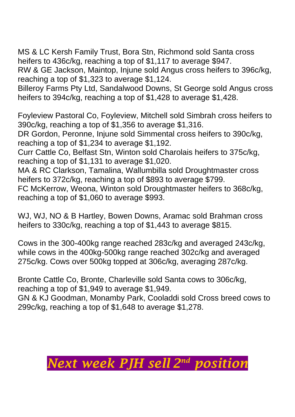MS & LC Kersh Family Trust, Bora Stn, Richmond sold Santa cross heifers to 436c/kg, reaching a top of \$1,117 to average \$947.

RW & GE Jackson, Maintop, Injune sold Angus cross heifers to 396c/kg, reaching a top of \$1,323 to average \$1,124.

Billeroy Farms Pty Ltd, Sandalwood Downs, St George sold Angus cross heifers to 394c/kg, reaching a top of \$1,428 to average \$1,428.

Foyleview Pastoral Co, Foyleview, Mitchell sold Simbrah cross heifers to 390c/kg, reaching a top of \$1,356 to average \$1,316.

DR Gordon, Peronne, Injune sold Simmental cross heifers to 390c/kg, reaching a top of \$1,234 to average \$1,192.

Curr Cattle Co, Belfast Stn, Winton sold Charolais heifers to 375c/kg, reaching a top of \$1,131 to average \$1,020.

MA & RC Clarkson, Tamalina, Wallumbilla sold Droughtmaster cross heifers to 372c/kg, reaching a top of \$893 to average \$799.

FC McKerrow, Weona, Winton sold Droughtmaster heifers to 368c/kg, reaching a top of \$1,060 to average \$993.

WJ, WJ, NO & B Hartley, Bowen Downs, Aramac sold Brahman cross heifers to 330c/kg, reaching a top of \$1,443 to average \$815.

Cows in the 300-400kg range reached 283c/kg and averaged 243c/kg, while cows in the 400kg-500kg range reached 302c/kg and averaged 275c/kg. Cows over 500kg topped at 306c/kg, averaging 287c/kg.

Bronte Cattle Co, Bronte, Charleville sold Santa cows to 306c/kg, reaching a top of \$1,949 to average \$1,949.

GN & KJ Goodman, Monamby Park, Cooladdi sold Cross breed cows to 299c/kg, reaching a top of \$1,648 to average \$1,278.